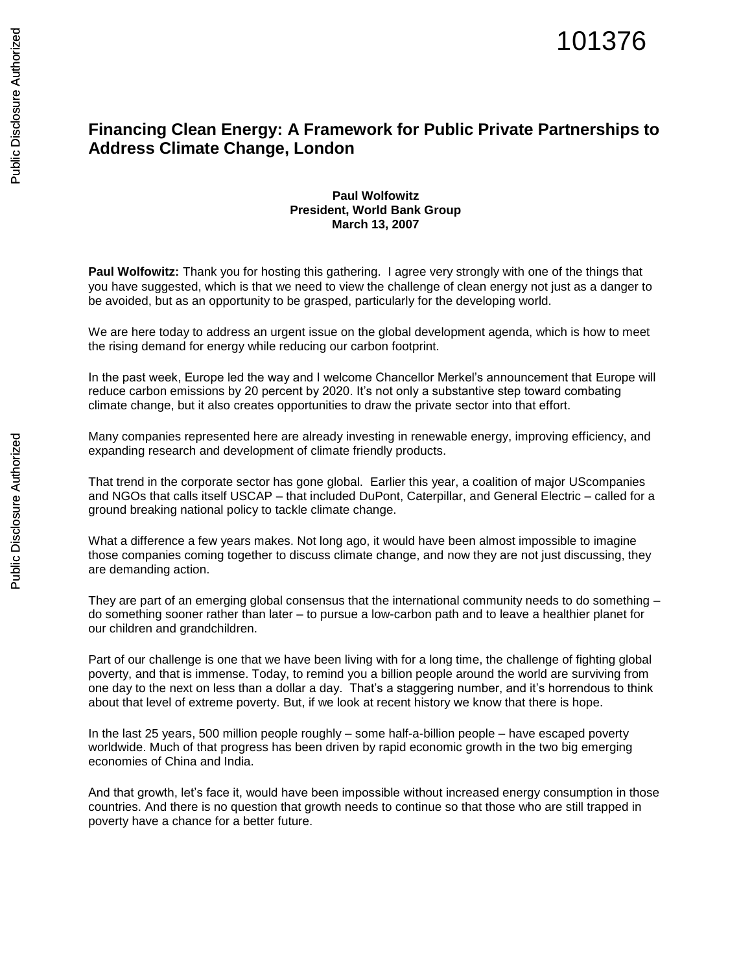## **Financing Clean Energy: A Framework for Public Private Partnerships to Address Climate Change, London**

## **Paul Wolfowitz President, World Bank Group March 13, 2007**

**Paul Wolfowitz:** Thank you for hosting this gathering. I agree very strongly with one of the things that you have suggested, which is that we need to view the challenge of clean energy not just as a danger to be avoided, but as an opportunity to be grasped, particularly for the developing world.

We are here today to address an urgent issue on the global development agenda, which is how to meet the rising demand for energy while reducing our carbon footprint.

In the past week, Europe led the way and I welcome Chancellor Merkel's announcement that Europe will reduce carbon emissions by 20 percent by 2020. It's not only a substantive step toward combating climate change, but it also creates opportunities to draw the private sector into that effort.

Many companies represented here are already investing in renewable energy, improving efficiency, and expanding research and development of climate friendly products.

That trend in the corporate sector has gone global. Earlier this year, a coalition of major UScompanies and NGOs that calls itself USCAP – that included DuPont, Caterpillar, and General Electric – called for a ground breaking national policy to tackle climate change.

What a difference a few years makes. Not long ago, it would have been almost impossible to imagine those companies coming together to discuss climate change, and now they are not just discussing, they are demanding action.

They are part of an emerging global consensus that the international community needs to do something – do something sooner rather than later – to pursue a low-carbon path and to leave a healthier planet for our children and grandchildren.

Part of our challenge is one that we have been living with for a long time, the challenge of fighting global poverty, and that is immense. Today, to remind you a billion people around the world are surviving from one day to the next on less than a dollar a day. That's a staggering number, and it's horrendous to think about that level of extreme poverty. But, if we look at recent history we know that there is hope.

In the last 25 years, 500 million people roughly – some half-a-billion people – have escaped poverty worldwide. Much of that progress has been driven by rapid economic growth in the two big emerging economies of China and India.

And that growth, let's face it, would have been impossible without increased energy consumption in those countries. And there is no question that growth needs to continue so that those who are still trapped in poverty have a chance for a better future.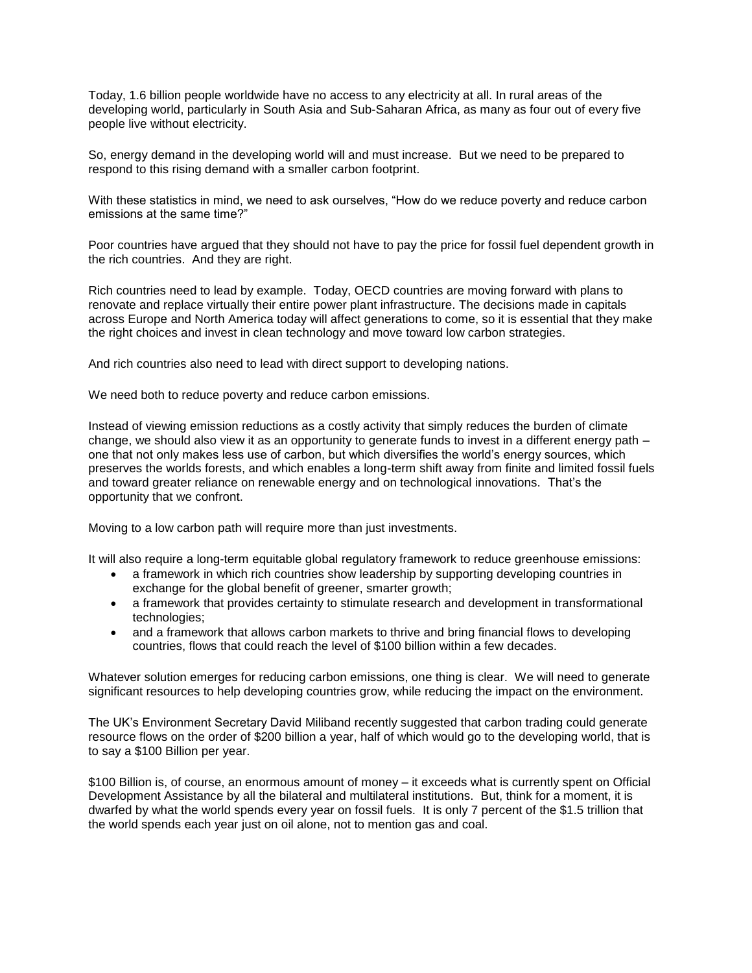Today, 1.6 billion people worldwide have no access to any electricity at all. In rural areas of the developing world, particularly in South Asia and Sub-Saharan Africa, as many as four out of every five people live without electricity.

So, energy demand in the developing world will and must increase. But we need to be prepared to respond to this rising demand with a smaller carbon footprint.

With these statistics in mind, we need to ask ourselves, "How do we reduce poverty and reduce carbon emissions at the same time?"

Poor countries have argued that they should not have to pay the price for fossil fuel dependent growth in the rich countries. And they are right.

Rich countries need to lead by example. Today, OECD countries are moving forward with plans to renovate and replace virtually their entire power plant infrastructure. The decisions made in capitals across Europe and North America today will affect generations to come, so it is essential that they make the right choices and invest in clean technology and move toward low carbon strategies.

And rich countries also need to lead with direct support to developing nations.

We need both to reduce poverty and reduce carbon emissions.

Instead of viewing emission reductions as a costly activity that simply reduces the burden of climate change, we should also view it as an opportunity to generate funds to invest in a different energy path – one that not only makes less use of carbon, but which diversifies the world's energy sources, which preserves the worlds forests, and which enables a long-term shift away from finite and limited fossil fuels and toward greater reliance on renewable energy and on technological innovations. That's the opportunity that we confront.

Moving to a low carbon path will require more than just investments.

It will also require a long-term equitable global regulatory framework to reduce greenhouse emissions:

- a framework in which rich countries show leadership by supporting developing countries in exchange for the global benefit of greener, smarter growth;
- a framework that provides certainty to stimulate research and development in transformational technologies;
- and a framework that allows carbon markets to thrive and bring financial flows to developing countries, flows that could reach the level of \$100 billion within a few decades.

Whatever solution emerges for reducing carbon emissions, one thing is clear. We will need to generate significant resources to help developing countries grow, while reducing the impact on the environment.

The UK's Environment Secretary David Miliband recently suggested that carbon trading could generate resource flows on the order of \$200 billion a year, half of which would go to the developing world, that is to say a \$100 Billion per year.

\$100 Billion is, of course, an enormous amount of money – it exceeds what is currently spent on Official Development Assistance by all the bilateral and multilateral institutions. But, think for a moment, it is dwarfed by what the world spends every year on fossil fuels. It is only 7 percent of the \$1.5 trillion that the world spends each year just on oil alone, not to mention gas and coal.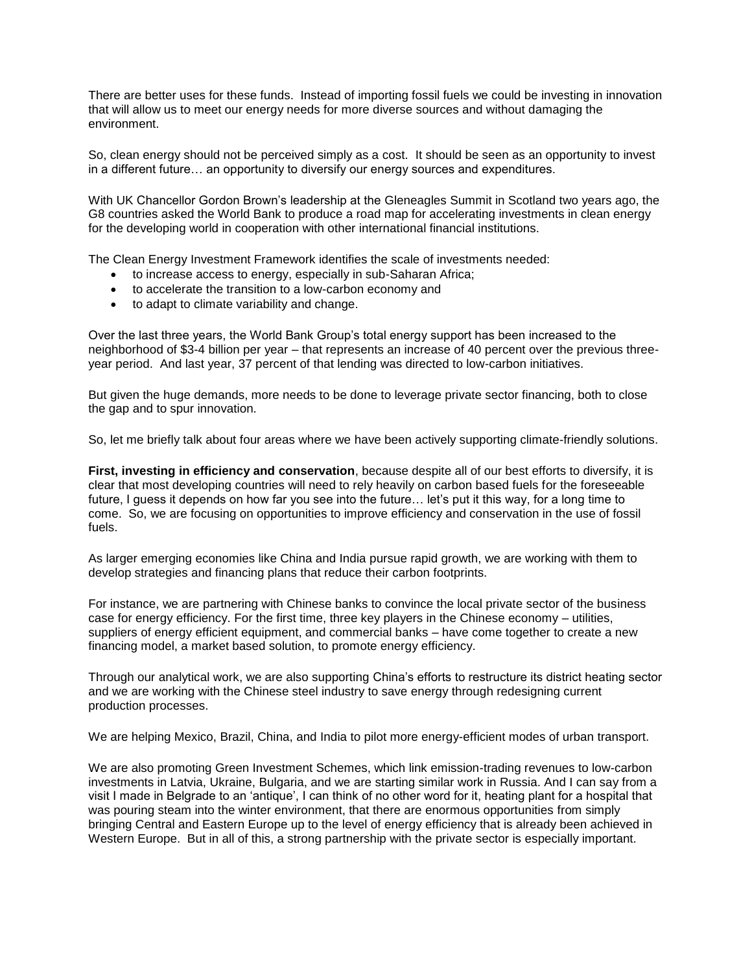There are better uses for these funds. Instead of importing fossil fuels we could be investing in innovation that will allow us to meet our energy needs for more diverse sources and without damaging the environment.

So, clean energy should not be perceived simply as a cost. It should be seen as an opportunity to invest in a different future… an opportunity to diversify our energy sources and expenditures.

With UK Chancellor Gordon Brown's leadership at the Gleneagles Summit in Scotland two years ago, the G8 countries asked the World Bank to produce a road map for accelerating investments in clean energy for the developing world in cooperation with other international financial institutions.

The Clean Energy Investment Framework identifies the scale of investments needed:

- to increase access to energy, especially in sub-Saharan Africa;
- to accelerate the transition to a low-carbon economy and
- to adapt to climate variability and change.

Over the last three years, the World Bank Group's total energy support has been increased to the neighborhood of \$3-4 billion per year – that represents an increase of 40 percent over the previous threeyear period. And last year, 37 percent of that lending was directed to low-carbon initiatives.

But given the huge demands, more needs to be done to leverage private sector financing, both to close the gap and to spur innovation.

So, let me briefly talk about four areas where we have been actively supporting climate-friendly solutions.

**First, investing in efficiency and conservation**, because despite all of our best efforts to diversify, it is clear that most developing countries will need to rely heavily on carbon based fuels for the foreseeable future, I guess it depends on how far you see into the future… let's put it this way, for a long time to come. So, we are focusing on opportunities to improve efficiency and conservation in the use of fossil fuels.

As larger emerging economies like China and India pursue rapid growth, we are working with them to develop strategies and financing plans that reduce their carbon footprints.

For instance, we are partnering with Chinese banks to convince the local private sector of the business case for energy efficiency. For the first time, three key players in the Chinese economy – utilities, suppliers of energy efficient equipment, and commercial banks – have come together to create a new financing model, a market based solution, to promote energy efficiency.

Through our analytical work, we are also supporting China's efforts to restructure its district heating sector and we are working with the Chinese steel industry to save energy through redesigning current production processes.

We are helping Mexico, Brazil, China, and India to pilot more energy-efficient modes of urban transport.

We are also promoting Green Investment Schemes, which link emission-trading revenues to low-carbon investments in Latvia, Ukraine, Bulgaria, and we are starting similar work in Russia. And I can say from a visit I made in Belgrade to an 'antique', I can think of no other word for it, heating plant for a hospital that was pouring steam into the winter environment, that there are enormous opportunities from simply bringing Central and Eastern Europe up to the level of energy efficiency that is already been achieved in Western Europe. But in all of this, a strong partnership with the private sector is especially important.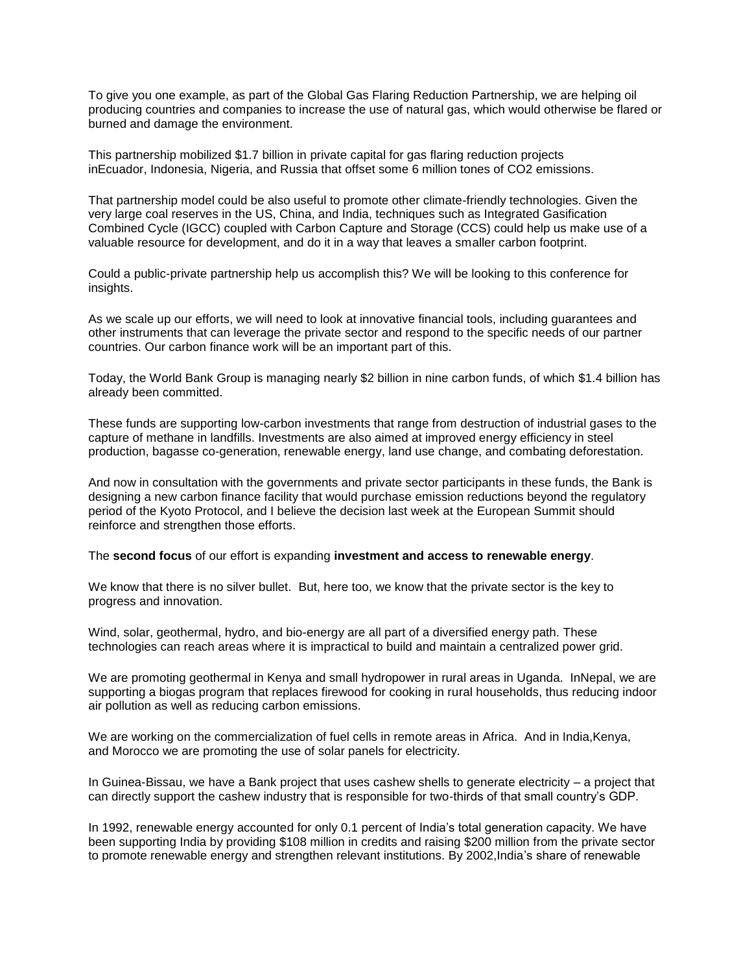To give you one example, as part of the Global Gas Flaring Reduction Partnership, we are helping oil producing countries and companies to increase the use of natural gas, which would otherwise be flared or burned and damage the environment.

This partnership mobilized \$1.7 billion in private capital for gas flaring reduction projects inEcuador, Indonesia, Nigeria, and Russia that offset some 6 million tones of CO2 emissions.

That partnership model could be also useful to promote other climate-friendly technologies. Given the very large coal reserves in the US, China, and India, techniques such as Integrated Gasification Combined Cycle (IGCC) coupled with Carbon Capture and Storage (CCS) could help us make use of a valuable resource for development, and do it in a way that leaves a smaller carbon footprint.

Could a public-private partnership help us accomplish this? We will be looking to this conference for insights.

As we scale up our efforts, we will need to look at innovative financial tools, including guarantees and other instruments that can leverage the private sector and respond to the specific needs of our partner countries. Our carbon finance work will be an important part of this.

Today, the World Bank Group is managing nearly \$2 billion in nine carbon funds, of which \$1.4 billion has already been committed.

These funds are supporting low-carbon investments that range from destruction of industrial gases to the capture of methane in landfills. Investments are also aimed at improved energy efficiency in steel production, bagasse co-generation, renewable energy, land use change, and combating deforestation.

And now in consultation with the governments and private sector participants in these funds, the Bank is designing a new carbon finance facility that would purchase emission reductions beyond the regulatory period of the Kyoto Protocol, and I believe the decision last week at the European Summit should reinforce and strengthen those efforts.

## The **second focus** of our effort is expanding **investment and access to renewable energy**.

We know that there is no silver bullet. But, here too, we know that the private sector is the key to progress and innovation.

Wind, solar, geothermal, hydro, and bio-energy are all part of a diversified energy path. These technologies can reach areas where it is impractical to build and maintain a centralized power grid.

We are promoting geothermal in Kenya and small hydropower in rural areas in Uganda. InNepal, we are supporting a biogas program that replaces firewood for cooking in rural households, thus reducing indoor air pollution as well as reducing carbon emissions.

We are working on the commercialization of fuel cells in remote areas in Africa. And in India,Kenya, and Morocco we are promoting the use of solar panels for electricity.

In Guinea-Bissau, we have a Bank project that uses cashew shells to generate electricity – a project that can directly support the cashew industry that is responsible for two-thirds of that small country's GDP.

In 1992, renewable energy accounted for only 0.1 percent of India's total generation capacity. We have been supporting India by providing \$108 million in credits and raising \$200 million from the private sector to promote renewable energy and strengthen relevant institutions. By 2002,India's share of renewable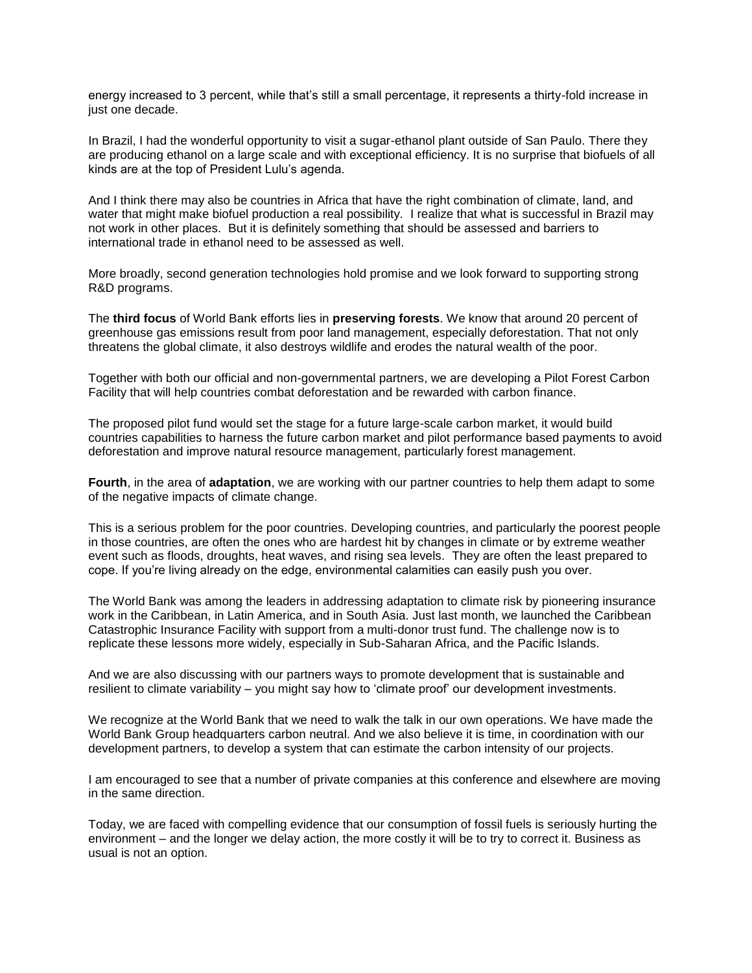energy increased to 3 percent, while that's still a small percentage, it represents a thirty-fold increase in just one decade.

In Brazil, I had the wonderful opportunity to visit a sugar-ethanol plant outside of San Paulo. There they are producing ethanol on a large scale and with exceptional efficiency. It is no surprise that biofuels of all kinds are at the top of President Lulu's agenda.

And I think there may also be countries in Africa that have the right combination of climate, land, and water that might make biofuel production a real possibility. I realize that what is successful in Brazil may not work in other places. But it is definitely something that should be assessed and barriers to international trade in ethanol need to be assessed as well.

More broadly, second generation technologies hold promise and we look forward to supporting strong R&D programs.

The **third focus** of World Bank efforts lies in **preserving forests**. We know that around 20 percent of greenhouse gas emissions result from poor land management, especially deforestation. That not only threatens the global climate, it also destroys wildlife and erodes the natural wealth of the poor.

Together with both our official and non-governmental partners, we are developing a Pilot Forest Carbon Facility that will help countries combat deforestation and be rewarded with carbon finance.

The proposed pilot fund would set the stage for a future large-scale carbon market, it would build countries capabilities to harness the future carbon market and pilot performance based payments to avoid deforestation and improve natural resource management, particularly forest management.

**Fourth**, in the area of **adaptation**, we are working with our partner countries to help them adapt to some of the negative impacts of climate change.

This is a serious problem for the poor countries. Developing countries, and particularly the poorest people in those countries, are often the ones who are hardest hit by changes in climate or by extreme weather event such as floods, droughts, heat waves, and rising sea levels. They are often the least prepared to cope. If you're living already on the edge, environmental calamities can easily push you over.

The World Bank was among the leaders in addressing adaptation to climate risk by pioneering insurance work in the Caribbean, in Latin America, and in South Asia. Just last month, we launched the Caribbean Catastrophic Insurance Facility with support from a multi-donor trust fund. The challenge now is to replicate these lessons more widely, especially in Sub-Saharan Africa, and the Pacific Islands.

And we are also discussing with our partners ways to promote development that is sustainable and resilient to climate variability – you might say how to 'climate proof' our development investments.

We recognize at the World Bank that we need to walk the talk in our own operations. We have made the World Bank Group headquarters carbon neutral. And we also believe it is time, in coordination with our development partners, to develop a system that can estimate the carbon intensity of our projects.

I am encouraged to see that a number of private companies at this conference and elsewhere are moving in the same direction.

Today, we are faced with compelling evidence that our consumption of fossil fuels is seriously hurting the environment – and the longer we delay action, the more costly it will be to try to correct it. Business as usual is not an option.